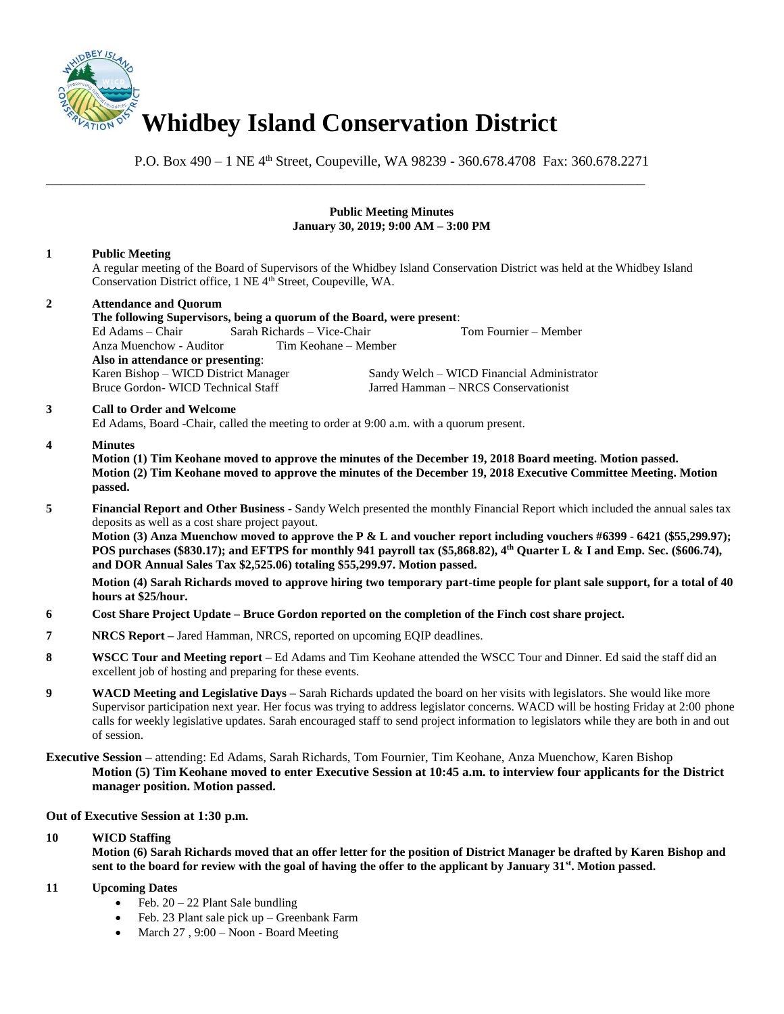

\_\_\_\_\_\_\_\_\_\_\_\_\_\_\_\_\_\_\_\_\_\_\_\_\_\_\_\_\_\_\_\_\_\_\_\_\_\_\_\_\_\_\_\_\_\_\_\_\_\_\_\_\_\_\_\_\_\_\_\_\_\_\_\_\_\_\_\_\_\_\_\_\_\_\_\_\_\_

P.O. Box 490 – 1 NE 4<sup>th</sup> Street, Coupeville, WA 98239 - 360.678.4708 Fax: 360.678.2271

#### **Public Meeting Minutes January 30, 2019; 9:00 AM – 3:00 PM**

## **1 Public Meeting**

A regular meeting of the Board of Supervisors of the Whidbey Island Conservation District was held at the Whidbey Island Conservation District office, 1 NE 4<sup>th</sup> Street, Coupeville, WA.

# **2 Attendance and Quorum The following Supervisors, being a quorum of the Board, were present**: Ed Adams – Chair Sarah Richards – Vice-Chair Tom Fournier – Member Anza Muenchow - Auditor **Also in attendance or presenting**: Sandy Welch – WICD Financial Administrator Bruce Gordon- WICD Technical Staff Jarred Hamman – NRCS Conservationist **3 Call to Order and Welcome**

Ed Adams, Board -Chair, called the meeting to order at 9:00 a.m. with a quorum present.

## **4 Minutes**

**Motion (1) Tim Keohane moved to approve the minutes of the December 19, 2018 Board meeting. Motion passed. Motion (2) Tim Keohane moved to approve the minutes of the December 19, 2018 Executive Committee Meeting. Motion passed.** 

**5 Financial Report and Other Business -** Sandy Welch presented the monthly Financial Report which included the annual sales tax deposits as well as a cost share project payout.

**Motion (3) Anza Muenchow moved to approve the P & L and voucher report including vouchers #6399 - 6421 (\$55,299.97); POS purchases (\$830.17); and EFTPS for monthly 941 payroll tax (\$5,868.82), 4 th Quarter L & I and Emp. Sec. (\$606.74), and DOR Annual Sales Tax \$2,525.06) totaling \$55,299.97. Motion passed.** 

**Motion (4) Sarah Richards moved to approve hiring two temporary part-time people for plant sale support, for a total of 40 hours at \$25/hour.**

- **6 Cost Share Project Update – Bruce Gordon reported on the completion of the Finch cost share project.**
- **7 NRCS Report –** Jared Hamman, NRCS, reported on upcoming EQIP deadlines.
- **8 WSCC Tour and Meeting report –** Ed Adams and Tim Keohane attended the WSCC Tour and Dinner. Ed said the staff did an excellent job of hosting and preparing for these events.
- **9 WACD Meeting and Legislative Days** Sarah Richards updated the board on her visits with legislators. She would like more Supervisor participation next year. Her focus was trying to address legislator concerns. WACD will be hosting Friday at 2:00 phone calls for weekly legislative updates. Sarah encouraged staff to send project information to legislators while they are both in and out of session.
- **Executive Session –** attending: Ed Adams, Sarah Richards, Tom Fournier, Tim Keohane, Anza Muenchow, Karen Bishop **Motion (5) Tim Keohane moved to enter Executive Session at 10:45 a.m. to interview four applicants for the District manager position. Motion passed.**

## **Out of Executive Session at 1:30 p.m.**

## **10 WICD Staffing**

**Motion (6) Sarah Richards moved that an offer letter for the position of District Manager be drafted by Karen Bishop and sent to the board for review with the goal of having the offer to the applicant by January 31st. Motion passed.** 

## **11 Upcoming Dates**

- Feb.  $20 22$  Plant Sale bundling
- Feb. 23 Plant sale pick up Greenbank Farm
- March 27 , 9:00 Noon Board Meeting